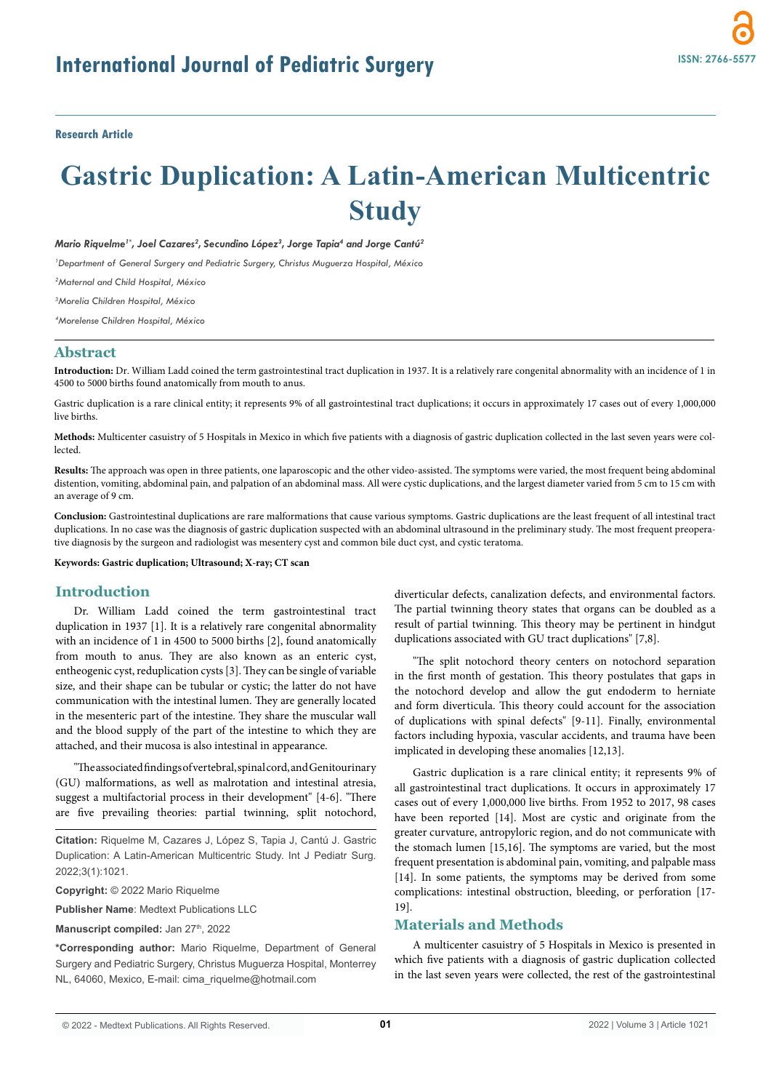**Research Article**

# **Gastric Duplication: A Latin-American Multicentric Study**

 $M$ ario Riquelme<sup>1\*</sup>, Joel Cazares<sup>2</sup>, Secundino López<sup>3</sup>, Jorge Tapia<sup>4</sup> and Jorge Cantú<sup>2</sup>

*1 Department of General Surgery and Pediatric Surgery, Christus Muguerza Hospital, México*

*2 Maternal and Child Hospital, México*

*3 Morelia Children Hospital, México*

*4 Morelense Children Hospital, México*

# **Abstract**

**Introduction:** Dr. William Ladd coined the term gastrointestinal tract duplication in 1937. It is a relatively rare congenital abnormality with an incidence of 1 in 4500 to 5000 births found anatomically from mouth to anus.

Gastric duplication is a rare clinical entity; it represents 9% of all gastrointestinal tract duplications; it occurs in approximately 17 cases out of every 1,000,000 live births.

**Methods:** Multicenter casuistry of 5 Hospitals in Mexico in which five patients with a diagnosis of gastric duplication collected in the last seven years were collected.

**Results:** The approach was open in three patients, one laparoscopic and the other video-assisted. The symptoms were varied, the most frequent being abdominal distention, vomiting, abdominal pain, and palpation of an abdominal mass. All were cystic duplications, and the largest diameter varied from 5 cm to 15 cm with an average of 9 cm.

**Conclusion:** Gastrointestinal duplications are rare malformations that cause various symptoms. Gastric duplications are the least frequent of all intestinal tract duplications. In no case was the diagnosis of gastric duplication suspected with an abdominal ultrasound in the preliminary study. The most frequent preoperative diagnosis by the surgeon and radiologist was mesentery cyst and common bile duct cyst, and cystic teratoma.

#### **Keywords: Gastric duplication; Ultrasound; X-ray; CT scan**

## **Introduction**

Dr. William Ladd coined the term gastrointestinal tract duplication in 1937 [1]. It is a relatively rare congenital abnormality with an incidence of 1 in 4500 to 5000 births [2], found anatomically from mouth to anus. They are also known as an enteric cyst, entheogenic cyst, reduplication cysts [3]. They can be single of variable size, and their shape can be tubular or cystic; the latter do not have communication with the intestinal lumen. They are generally located in the mesenteric part of the intestine. They share the muscular wall and the blood supply of the part of the intestine to which they are attached, and their mucosa is also intestinal in appearance.

"The associated findings of vertebral, spinal cord, and Genitourinary (GU) malformations, as well as malrotation and intestinal atresia, suggest a multifactorial process in their development" [4-6]. "There are five prevailing theories: partial twinning, split notochord,

**Citation:** Riquelme M, Cazares J, López S, Tapia J, Cantú J. Gastric Duplication: A Latin-American Multicentric Study. Int J Pediatr Surg. 2022;3(1):1021.

**Copyright:** © 2022 Mario Riquelme

**Publisher Name**: Medtext Publications LLC

Manuscript compiled: Jan 27<sup>th</sup>, 2022

**\*Corresponding author:** Mario Riquelme, Department of General Surgery and Pediatric Surgery, Christus Muguerza Hospital, Monterrey NL, 64060, Mexico, E-mail: cima\_riquelme@hotmail.com

diverticular defects, canalization defects, and environmental factors. The partial twinning theory states that organs can be doubled as a result of partial twinning. This theory may be pertinent in hindgut duplications associated with GU tract duplications" [7,8].

"The split notochord theory centers on notochord separation in the first month of gestation. This theory postulates that gaps in the notochord develop and allow the gut endoderm to herniate and form diverticula. This theory could account for the association of duplications with spinal defects" [9-11]. Finally, environmental factors including hypoxia, vascular accidents, and trauma have been implicated in developing these anomalies [12,13].

Gastric duplication is a rare clinical entity; it represents 9% of all gastrointestinal tract duplications. It occurs in approximately 17 cases out of every 1,000,000 live births. From 1952 to 2017, 98 cases have been reported [14]. Most are cystic and originate from the greater curvature, antropyloric region, and do not communicate with the stomach lumen [15,16]. The symptoms are varied, but the most frequent presentation is abdominal pain, vomiting, and palpable mass [14]. In some patients, the symptoms may be derived from some complications: intestinal obstruction, bleeding, or perforation [17- 19].

## **Materials and Methods**

A multicenter casuistry of 5 Hospitals in Mexico is presented in which five patients with a diagnosis of gastric duplication collected in the last seven years were collected, the rest of the gastrointestinal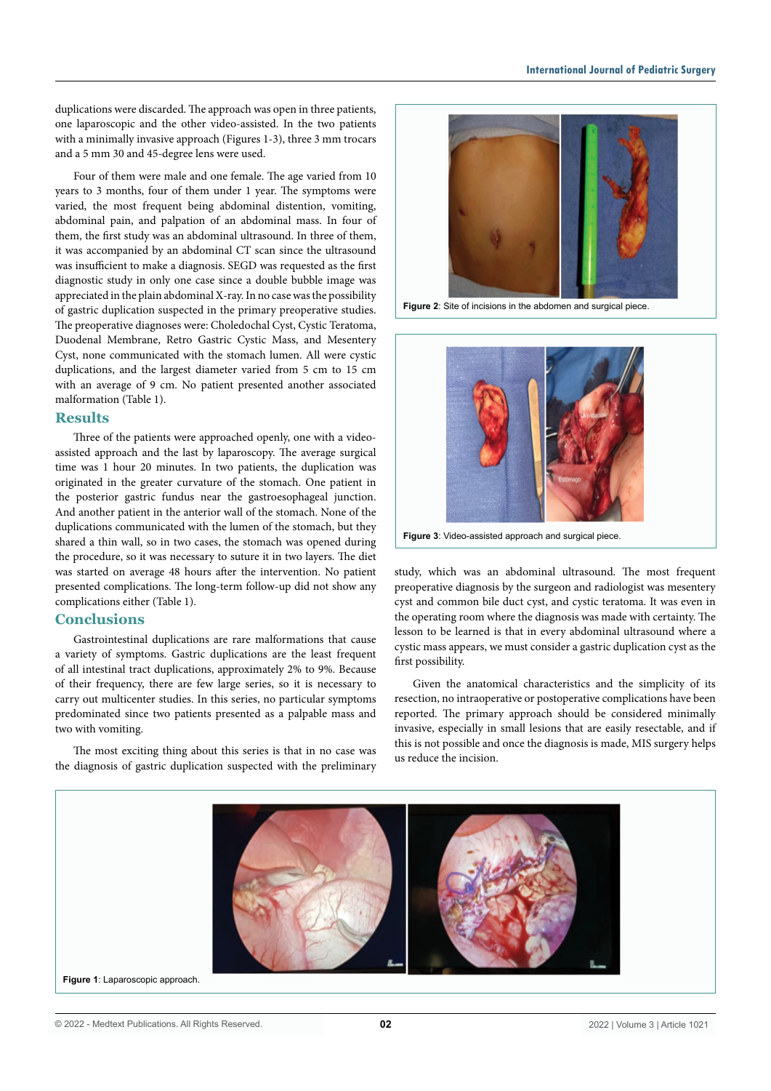duplications were discarded. The approach was open in three patients, one laparoscopic and the other video-assisted. In the two patients with a minimally invasive approach (Figures 1-3), three 3 mm trocars and a 5 mm 30 and 45-degree lens were used.

Four of them were male and one female. The age varied from 10 years to 3 months, four of them under 1 year. The symptoms were varied, the most frequent being abdominal distention, vomiting, abdominal pain, and palpation of an abdominal mass. In four of them, the first study was an abdominal ultrasound. In three of them, it was accompanied by an abdominal CT scan since the ultrasound was insufficient to make a diagnosis. SEGD was requested as the first diagnostic study in only one case since a double bubble image was appreciated in the plain abdominal X-ray. In no case was the possibility of gastric duplication suspected in the primary preoperative studies. The preoperative diagnoses were: Choledochal Cyst, Cystic Teratoma, Duodenal Membrane, Retro Gastric Cystic Mass, and Mesentery Cyst, none communicated with the stomach lumen. All were cystic duplications, and the largest diameter varied from 5 cm to 15 cm with an average of 9 cm. No patient presented another associated malformation (Table 1).

#### **Results**

Three of the patients were approached openly, one with a videoassisted approach and the last by laparoscopy. The average surgical time was 1 hour 20 minutes. In two patients, the duplication was originated in the greater curvature of the stomach. One patient in the posterior gastric fundus near the gastroesophageal junction. And another patient in the anterior wall of the stomach. None of the duplications communicated with the lumen of the stomach, but they shared a thin wall, so in two cases, the stomach was opened during the procedure, so it was necessary to suture it in two layers. The diet was started on average 48 hours after the intervention. No patient presented complications. The long-term follow-up did not show any complications either (Table 1).

### **Conclusions**

Gastrointestinal duplications are rare malformations that cause a variety of symptoms. Gastric duplications are the least frequent of all intestinal tract duplications, approximately 2% to 9%. Because of their frequency, there are few large series, so it is necessary to carry out multicenter studies. In this series, no particular symptoms predominated since two patients presented as a palpable mass and two with vomiting.

The most exciting thing about this series is that in no case was the diagnosis of gastric duplication suspected with the preliminary



**Figure 2**: Site of incisions in the abdomen and surgical piece.



**Figure 3**: Video-assisted approach and surgical piece.

study, which was an abdominal ultrasound. The most frequent preoperative diagnosis by the surgeon and radiologist was mesentery cyst and common bile duct cyst, and cystic teratoma. It was even in the operating room where the diagnosis was made with certainty. The lesson to be learned is that in every abdominal ultrasound where a cystic mass appears, we must consider a gastric duplication cyst as the first possibility.

Given the anatomical characteristics and the simplicity of its resection, no intraoperative or postoperative complications have been reported. The primary approach should be considered minimally invasive, especially in small lesions that are easily resectable, and if this is not possible and once the diagnosis is made, MIS surgery helps us reduce the incision.